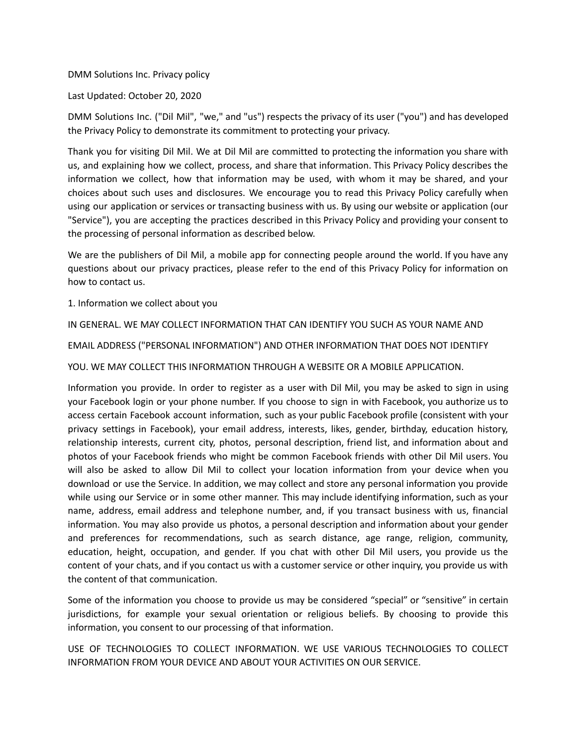#### DMM Solutions Inc. Privacy policy

Last Updated: October 20, 2020

DMM Solutions Inc. ("Dil Mil", "we," and "us") respects the privacy of its user ("you") and has developed the Privacy Policy to demonstrate its commitment to protecting your privacy.

Thank you for visiting Dil Mil. We at Dil Mil are committed to protecting the information you share with us, and explaining how we collect, process, and share that information. This Privacy Policy describes the information we collect, how that information may be used, with whom it may be shared, and your choices about such uses and disclosures. We encourage you to read this Privacy Policy carefully when using our application or services or transacting business with us. By using our website or application (our "Service"), you are accepting the practices described in this Privacy Policy and providing your consent to the processing of personal information as described below.

We are the publishers of Dil Mil, a mobile app for connecting people around the world. If you have any questions about our privacy practices, please refer to the end of this Privacy Policy for information on how to contact us.

1. Information we collect about you

IN GENERAL. WE MAY COLLECT INFORMATION THAT CAN IDENTIFY YOU SUCH AS YOUR NAME AND

EMAIL ADDRESS ("PERSONAL INFORMATION") AND OTHER INFORMATION THAT DOES NOT IDENTIFY

YOU. WE MAY COLLECT THIS INFORMATION THROUGH A WEBSITE OR A MOBILE APPLICATION.

Information you provide. In order to register as a user with Dil Mil, you may be asked to sign in using your Facebook login or your phone number. If you choose to sign in with Facebook, you authorize us to access certain Facebook account information, such as your public Facebook profile (consistent with your privacy settings in Facebook), your email address, interests, likes, gender, birthday, education history, relationship interests, current city, photos, personal description, friend list, and information about and photos of your Facebook friends who might be common Facebook friends with other Dil Mil users. You will also be asked to allow Dil Mil to collect your location information from your device when you download or use the Service. In addition, we may collect and store any personal information you provide while using our Service or in some other manner. This may include identifying information, such as your name, address, email address and telephone number, and, if you transact business with us, financial information. You may also provide us photos, a personal description and information about your gender and preferences for recommendations, such as search distance, age range, religion, community, education, height, occupation, and gender. If you chat with other Dil Mil users, you provide us the content of your chats, and if you contact us with a customer service or other inquiry, you provide us with the content of that communication.

Some of the information you choose to provide us may be considered "special" or "sensitive" in certain jurisdictions, for example your sexual orientation or religious beliefs. By choosing to provide this information, you consent to our processing of that information.

USE OF TECHNOLOGIES TO COLLECT INFORMATION. WE USE VARIOUS TECHNOLOGIES TO COLLECT INFORMATION FROM YOUR DEVICE AND ABOUT YOUR ACTIVITIES ON OUR SERVICE.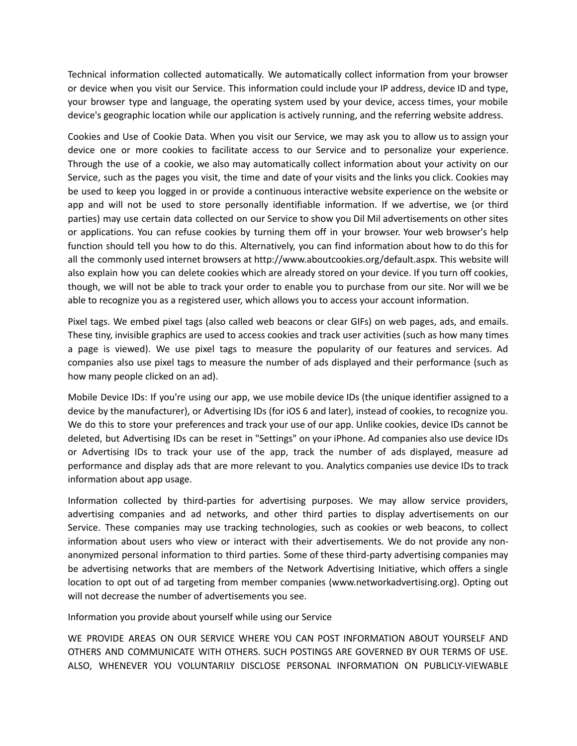Technical information collected automatically. We automatically collect information from your browser or device when you visit our Service. This information could include your IP address, device ID and type, your browser type and language, the operating system used by your device, access times, your mobile device's geographic location while our application is actively running, and the referring website address.

Cookies and Use of Cookie Data. When you visit our Service, we may ask you to allow us to assign your device one or more cookies to facilitate access to our Service and to personalize your experience. Through the use of a cookie, we also may automatically collect information about your activity on our Service, such as the pages you visit, the time and date of your visits and the links you click. Cookies may be used to keep you logged in or provide a continuous interactive website experience on the website or app and will not be used to store personally identifiable information. If we advertise, we (or third parties) may use certain data collected on our Service to show you Dil Mil advertisements on other sites or applications. You can refuse cookies by turning them off in your browser. Your web browser's help function should tell you how to do this. Alternatively, you can find information about how to do this for all the commonly used internet browsers at http://www.aboutcookies.org/default.aspx. This website will also explain how you can delete cookies which are already stored on your device. If you turn off cookies, though, we will not be able to track your order to enable you to purchase from our site. Nor will we be able to recognize you as a registered user, which allows you to access your account information.

Pixel tags. We embed pixel tags (also called web beacons or clear GIFs) on web pages, ads, and emails. These tiny, invisible graphics are used to access cookies and track user activities (such as how many times a page is viewed). We use pixel tags to measure the popularity of our features and services. Ad companies also use pixel tags to measure the number of ads displayed and their performance (such as how many people clicked on an ad).

Mobile Device IDs: If you're using our app, we use mobile device IDs (the unique identifier assigned to a device by the manufacturer), or Advertising IDs (for iOS 6 and later), instead of cookies, to recognize you. We do this to store your preferences and track your use of our app. Unlike cookies, device IDs cannot be deleted, but Advertising IDs can be reset in "Settings" on your iPhone. Ad companies also use device IDs or Advertising IDs to track your use of the app, track the number of ads displayed, measure ad performance and display ads that are more relevant to you. Analytics companies use device IDs to track information about app usage.

Information collected by third-parties for advertising purposes. We may allow service providers, advertising companies and ad networks, and other third parties to display advertisements on our Service. These companies may use tracking technologies, such as cookies or web beacons, to collect information about users who view or interact with their advertisements. We do not provide any nonanonymized personal information to third parties. Some of these third-party advertising companies may be advertising networks that are members of the Network Advertising Initiative, which offers a single location to opt out of ad targeting from member companies (www.networkadvertising.org). Opting out will not decrease the number of advertisements you see.

Information you provide about yourself while using our Service

WE PROVIDE AREAS ON OUR SERVICE WHERE YOU CAN POST INFORMATION ABOUT YOURSELF AND OTHERS AND COMMUNICATE WITH OTHERS. SUCH POSTINGS ARE GOVERNED BY OUR TERMS OF USE. ALSO, WHENEVER YOU VOLUNTARILY DISCLOSE PERSONAL INFORMATION ON PUBLICLY-VIEWABLE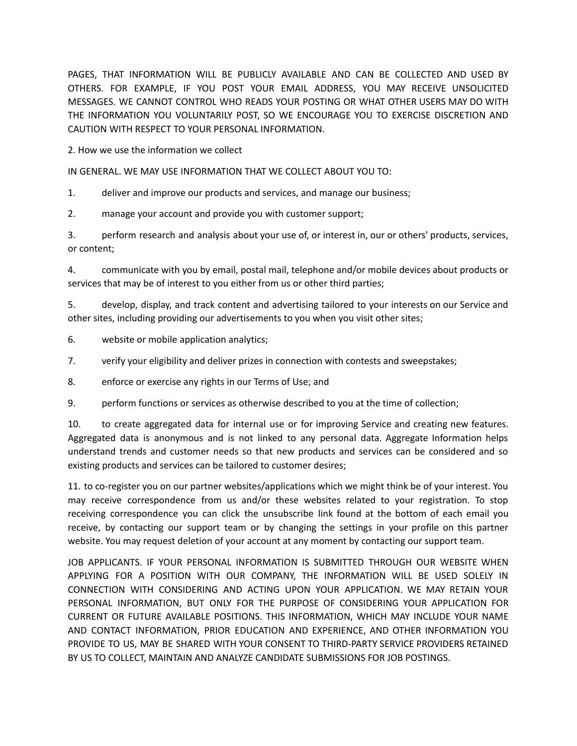PAGES, THAT INFORMATION WILL BE PUBLICLY AVAILABLE AND CAN BE COLLECTED AND USED BY OTHERS. FOR EXAMPLE, IF YOU POST YOUR EMAIL ADDRESS, YOU MAY RECEIVE UNSOLICITED MESSAGES. WE CANNOT CONTROL WHO READS YOUR POSTING OR WHAT OTHER USERS MAY DO WITH THE INFORMATION YOU VOLUNTARILY POST, SO WE ENCOURAGE YOU TO EXERCISE DISCRETION AND CAUTION WITH RESPECT TO YOUR PERSONAL INFORMATION.

2. How we use the information we collect

IN GENERAL. WE MAY USE INFORMATION THAT WE COLLECT ABOUT YOU TO:

1. deliver and improve our products and services, and manage our business;

2. manage your account and provide you with customer support;

3. perform research and analysis about your use of, or interest in, our or others' products, services, or content;

4. communicate with you by email, postal mail, telephone and/or mobile devices about products or services that may be of interest to you either from us or other third parties;

5. develop, display, and track content and advertising tailored to your interests on our Service and other sites, including providing our advertisements to you when you visit other sites;

6. website or mobile application analytics;

7. verify your eligibility and deliver prizes in connection with contests and sweepstakes;

8. enforce or exercise any rights in our Terms of Use; and

9. perform functions or services as otherwise described to you at the time of collection;

10. to create aggregated data for internal use or for improving Service and creating new features. Aggregated data is anonymous and is not linked to any personal data. Aggregate Information helps understand trends and customer needs so that new products and services can be considered and so existing products and services can be tailored to customer desires;

11. to co-register you on our partner websites/applications which we might think be of your interest. You may receive correspondence from us and/or these websites related to your registration. To stop receiving correspondence you can click the unsubscribe link found at the bottom of each email you receive, by contacting our support team or by changing the settings in your profile on this partner website. You may request deletion of your account at any moment by contacting our support team.

JOB APPLICANTS. IF YOUR PERSONAL INFORMATION IS SUBMITTED THROUGH OUR WEBSITE WHEN APPLYING FOR A POSITION WITH OUR COMPANY, THE INFORMATION WILL BE USED SOLELY IN CONNECTION WITH CONSIDERING AND ACTING UPON YOUR APPLICATION. WE MAY RETAIN YOUR PERSONAL INFORMATION, BUT ONLY FOR THE PURPOSE OF CONSIDERING YOUR APPLICATION FOR CURRENT OR FUTURE AVAILABLE POSITIONS. THIS INFORMATION, WHICH MAY INCLUDE YOUR NAME AND CONTACT INFORMATION, PRIOR EDUCATION AND EXPERIENCE, AND OTHER INFORMATION YOU PROVIDE TO US, MAY BE SHARED WITH YOUR CONSENT TO THIRD-PARTY SERVICE PROVIDERS RETAINED BY US TO COLLECT, MAINTAIN AND ANALYZE CANDIDATE SUBMISSIONS FOR JOB POSTINGS.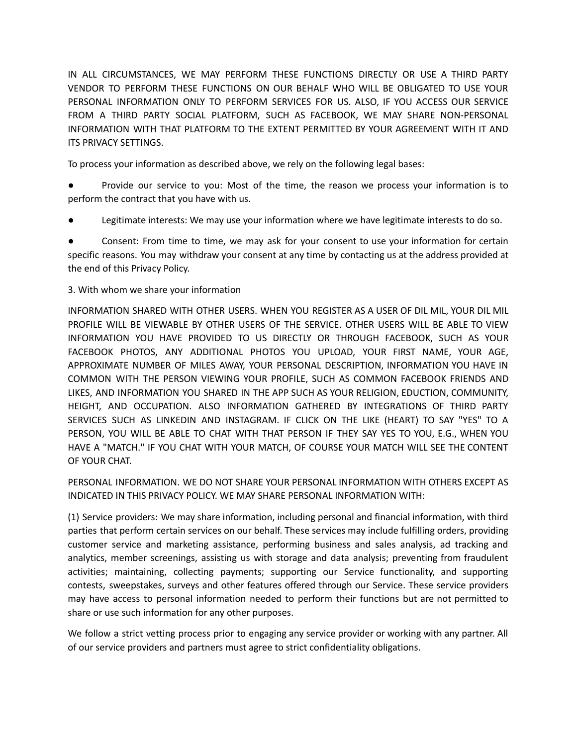IN ALL CIRCUMSTANCES, WE MAY PERFORM THESE FUNCTIONS DIRECTLY OR USE A THIRD PARTY VENDOR TO PERFORM THESE FUNCTIONS ON OUR BEHALF WHO WILL BE OBLIGATED TO USE YOUR PERSONAL INFORMATION ONLY TO PERFORM SERVICES FOR US. ALSO, IF YOU ACCESS OUR SERVICE FROM A THIRD PARTY SOCIAL PLATFORM, SUCH AS FACEBOOK, WE MAY SHARE NON-PERSONAL INFORMATION WITH THAT PLATFORM TO THE EXTENT PERMITTED BY YOUR AGREEMENT WITH IT AND ITS PRIVACY SETTINGS.

To process your information as described above, we rely on the following legal bases:

Provide our service to you: Most of the time, the reason we process your information is to perform the contract that you have with us.

Legitimate interests: We may use your information where we have legitimate interests to do so.

Consent: From time to time, we may ask for your consent to use your information for certain specific reasons. You may withdraw your consent at any time by contacting us at the address provided at the end of this Privacy Policy.

# 3. With whom we share your information

INFORMATION SHARED WITH OTHER USERS. WHEN YOU REGISTER AS A USER OF DIL MIL, YOUR DIL MIL PROFILE WILL BE VIEWABLE BY OTHER USERS OF THE SERVICE. OTHER USERS WILL BE ABLE TO VIEW INFORMATION YOU HAVE PROVIDED TO US DIRECTLY OR THROUGH FACEBOOK, SUCH AS YOUR FACEBOOK PHOTOS, ANY ADDITIONAL PHOTOS YOU UPLOAD, YOUR FIRST NAME, YOUR AGE, APPROXIMATE NUMBER OF MILES AWAY, YOUR PERSONAL DESCRIPTION, INFORMATION YOU HAVE IN COMMON WITH THE PERSON VIEWING YOUR PROFILE, SUCH AS COMMON FACEBOOK FRIENDS AND LIKES, AND INFORMATION YOU SHARED IN THE APP SUCH AS YOUR RELIGION, EDUCTION, COMMUNITY, HEIGHT, AND OCCUPATION. ALSO INFORMATION GATHERED BY INTEGRATIONS OF THIRD PARTY SERVICES SUCH AS LINKEDIN AND INSTAGRAM. IF CLICK ON THE LIKE (HEART) TO SAY "YES" TO A PERSON, YOU WILL BE ABLE TO CHAT WITH THAT PERSON IF THEY SAY YES TO YOU, E.G., WHEN YOU HAVE A "MATCH." IF YOU CHAT WITH YOUR MATCH, OF COURSE YOUR MATCH WILL SEE THE CONTENT OF YOUR CHAT.

PERSONAL INFORMATION. WE DO NOT SHARE YOUR PERSONAL INFORMATION WITH OTHERS EXCEPT AS INDICATED IN THIS PRIVACY POLICY. WE MAY SHARE PERSONAL INFORMATION WITH:

(1) Service providers: We may share information, including personal and financial information, with third parties that perform certain services on our behalf. These services may include fulfilling orders, providing customer service and marketing assistance, performing business and sales analysis, ad tracking and analytics, member screenings, assisting us with storage and data analysis; preventing from fraudulent activities; maintaining, collecting payments; supporting our Service functionality, and supporting contests, sweepstakes, surveys and other features offered through our Service. These service providers may have access to personal information needed to perform their functions but are not permitted to share or use such information for any other purposes.

We follow a strict vetting process prior to engaging any service provider or working with any partner. All of our service providers and partners must agree to strict confidentiality obligations.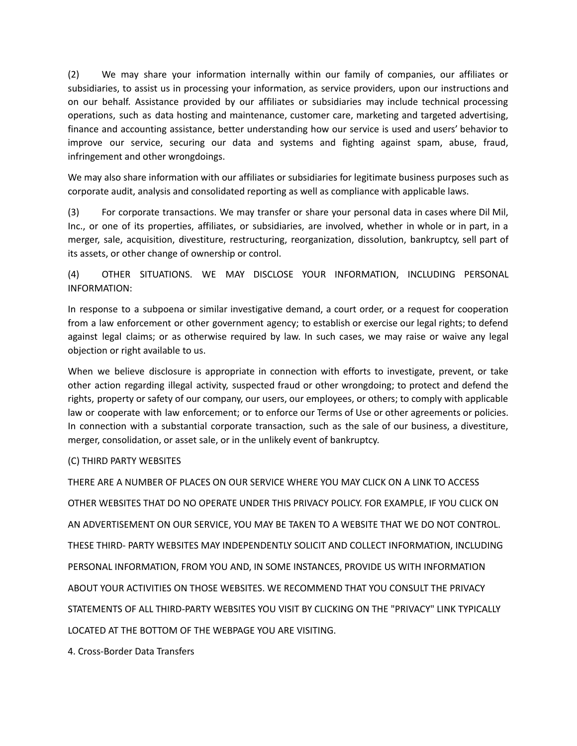(2) We may share your information internally within our family of companies, our affiliates or subsidiaries, to assist us in processing your information, as service providers, upon our instructions and on our behalf. Assistance provided by our affiliates or subsidiaries may include technical processing operations, such as data hosting and maintenance, customer care, marketing and targeted advertising, finance and accounting assistance, better understanding how our service is used and users' behavior to improve our service, securing our data and systems and fighting against spam, abuse, fraud, infringement and other wrongdoings.

We may also share information with our affiliates or subsidiaries for legitimate business purposes such as corporate audit, analysis and consolidated reporting as well as compliance with applicable laws.

(3) For corporate transactions. We may transfer or share your personal data in cases where Dil Mil, Inc., or one of its properties, affiliates, or subsidiaries, are involved, whether in whole or in part, in a merger, sale, acquisition, divestiture, restructuring, reorganization, dissolution, bankruptcy, sell part of its assets, or other change of ownership or control.

# (4) OTHER SITUATIONS. WE MAY DISCLOSE YOUR INFORMATION, INCLUDING PERSONAL INFORMATION:

In response to a subpoena or similar investigative demand, a court order, or a request for cooperation from a law enforcement or other government agency; to establish or exercise our legal rights; to defend against legal claims; or as otherwise required by law. In such cases, we may raise or waive any legal objection or right available to us.

When we believe disclosure is appropriate in connection with efforts to investigate, prevent, or take other action regarding illegal activity, suspected fraud or other wrongdoing; to protect and defend the rights, property or safety of our company, our users, our employees, or others; to comply with applicable law or cooperate with law enforcement; or to enforce our Terms of Use or other agreements or policies. In connection with a substantial corporate transaction, such as the sale of our business, a divestiture, merger, consolidation, or asset sale, or in the unlikely event of bankruptcy.

#### (C) THIRD PARTY WEBSITES

THERE ARE A NUMBER OF PLACES ON OUR SERVICE WHERE YOU MAY CLICK ON A LINK TO ACCESS OTHER WEBSITES THAT DO NO OPERATE UNDER THIS PRIVACY POLICY. FOR EXAMPLE, IF YOU CLICK ON AN ADVERTISEMENT ON OUR SERVICE, YOU MAY BE TAKEN TO A WEBSITE THAT WE DO NOT CONTROL. THESE THIRD- PARTY WEBSITES MAY INDEPENDENTLY SOLICIT AND COLLECT INFORMATION, INCLUDING PERSONAL INFORMATION, FROM YOU AND, IN SOME INSTANCES, PROVIDE US WITH INFORMATION ABOUT YOUR ACTIVITIES ON THOSE WEBSITES. WE RECOMMEND THAT YOU CONSULT THE PRIVACY STATEMENTS OF ALL THIRD-PARTY WEBSITES YOU VISIT BY CLICKING ON THE "PRIVACY" LINK TYPICALLY LOCATED AT THE BOTTOM OF THE WEBPAGE YOU ARE VISITING.

4. Cross-Border Data Transfers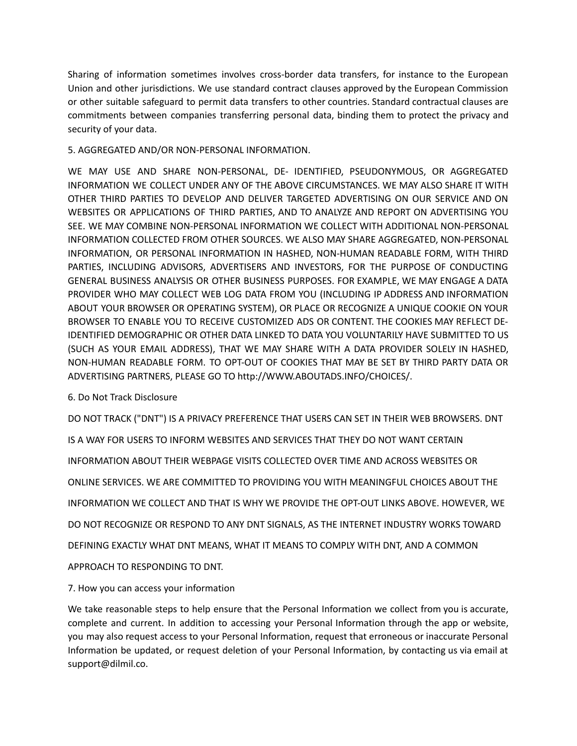Sharing of information sometimes involves cross-border data transfers, for instance to the European Union and other jurisdictions. We use standard contract clauses approved by the European Commission or other suitable safeguard to permit data transfers to other countries. Standard contractual clauses are commitments between companies transferring personal data, binding them to protect the privacy and security of your data.

### 5. AGGREGATED AND/OR NON-PERSONAL INFORMATION.

WE MAY USE AND SHARE NON-PERSONAL, DE- IDENTIFIED, PSEUDONYMOUS, OR AGGREGATED INFORMATION WE COLLECT UNDER ANY OF THE ABOVE CIRCUMSTANCES. WE MAY ALSO SHARE IT WITH OTHER THIRD PARTIES TO DEVELOP AND DELIVER TARGETED ADVERTISING ON OUR SERVICE AND ON WEBSITES OR APPLICATIONS OF THIRD PARTIES, AND TO ANALYZE AND REPORT ON ADVERTISING YOU SEE. WE MAY COMBINE NON-PERSONAL INFORMATION WE COLLECT WITH ADDITIONAL NON-PERSONAL INFORMATION COLLECTED FROM OTHER SOURCES. WE ALSO MAY SHARE AGGREGATED, NON-PERSONAL INFORMATION, OR PERSONAL INFORMATION IN HASHED, NON-HUMAN READABLE FORM, WITH THIRD PARTIES, INCLUDING ADVISORS, ADVERTISERS AND INVESTORS, FOR THE PURPOSE OF CONDUCTING GENERAL BUSINESS ANALYSIS OR OTHER BUSINESS PURPOSES. FOR EXAMPLE, WE MAY ENGAGE A DATA PROVIDER WHO MAY COLLECT WEB LOG DATA FROM YOU (INCLUDING IP ADDRESS AND INFORMATION ABOUT YOUR BROWSER OR OPERATING SYSTEM), OR PLACE OR RECOGNIZE A UNIQUE COOKIE ON YOUR BROWSER TO ENABLE YOU TO RECEIVE CUSTOMIZED ADS OR CONTENT. THE COOKIES MAY REFLECT DE-IDENTIFIED DEMOGRAPHIC OR OTHER DATA LINKED TO DATA YOU VOLUNTARILY HAVE SUBMITTED TO US (SUCH AS YOUR EMAIL ADDRESS), THAT WE MAY SHARE WITH A DATA PROVIDER SOLELY IN HASHED, NON-HUMAN READABLE FORM. TO OPT-OUT OF COOKIES THAT MAY BE SET BY THIRD PARTY DATA OR ADVERTISING PARTNERS, PLEASE GO TO http://WWW.ABOUTADS.INFO/CHOICES/.

### 6. Do Not Track Disclosure

DO NOT TRACK ("DNT") IS A PRIVACY PREFERENCE THAT USERS CAN SET IN THEIR WEB BROWSERS. DNT

IS A WAY FOR USERS TO INFORM WEBSITES AND SERVICES THAT THEY DO NOT WANT CERTAIN

INFORMATION ABOUT THEIR WEBPAGE VISITS COLLECTED OVER TIME AND ACROSS WEBSITES OR

ONLINE SERVICES. WE ARE COMMITTED TO PROVIDING YOU WITH MEANINGFUL CHOICES ABOUT THE

INFORMATION WE COLLECT AND THAT IS WHY WE PROVIDE THE OPT-OUT LINKS ABOVE. HOWEVER, WE

DO NOT RECOGNIZE OR RESPOND TO ANY DNT SIGNALS, AS THE INTERNET INDUSTRY WORKS TOWARD

DEFINING EXACTLY WHAT DNT MEANS, WHAT IT MEANS TO COMPLY WITH DNT, AND A COMMON

APPROACH TO RESPONDING TO DNT.

7. How you can access your information

We take reasonable steps to help ensure that the Personal Information we collect from you is accurate, complete and current. In addition to accessing your Personal Information through the app or website, you may also request access to your Personal Information, request that erroneous or inaccurate Personal Information be updated, or request deletion of your Personal Information, by contacting us via email at support@dilmil.co.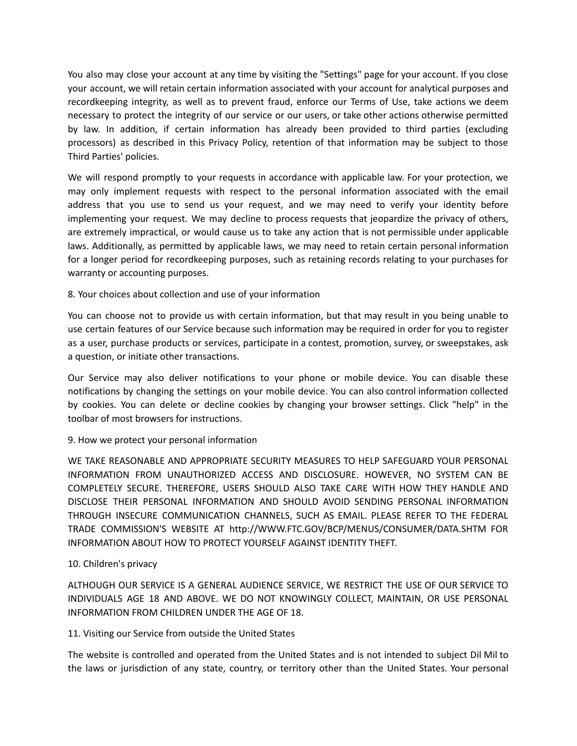You also may close your account at any time by visiting the "Settings" page for your account. If you close your account, we will retain certain information associated with your account for analytical purposes and recordkeeping integrity, as well as to prevent fraud, enforce our Terms of Use, take actions we deem necessary to protect the integrity of our service or our users, or take other actions otherwise permitted by law. In addition, if certain information has already been provided to third parties (excluding processors) as described in this Privacy Policy, retention of that information may be subject to those Third Parties' policies.

We will respond promptly to your requests in accordance with applicable law. For your protection, we may only implement requests with respect to the personal information associated with the email address that you use to send us your request, and we may need to verify your identity before implementing your request. We may decline to process requests that jeopardize the privacy of others, are extremely impractical, or would cause us to take any action that is not permissible under applicable laws. Additionally, as permitted by applicable laws, we may need to retain certain personal information for a longer period for recordkeeping purposes, such as retaining records relating to your purchases for warranty or accounting purposes.

# 8. Your choices about collection and use of your information

You can choose not to provide us with certain information, but that may result in you being unable to use certain features of our Service because such information may be required in order for you to register as a user, purchase products or services, participate in a contest, promotion, survey, or sweepstakes, ask a question, or initiate other transactions.

Our Service may also deliver notifications to your phone or mobile device. You can disable these notifications by changing the settings on your mobile device. You can also control information collected by cookies. You can delete or decline cookies by changing your browser settings. Click "help" in the toolbar of most browsers for instructions.

### 9. How we protect your personal information

WE TAKE REASONABLE AND APPROPRIATE SECURITY MEASURES TO HELP SAFEGUARD YOUR PERSONAL INFORMATION FROM UNAUTHORIZED ACCESS AND DISCLOSURE. HOWEVER, NO SYSTEM CAN BE COMPLETELY SECURE. THEREFORE, USERS SHOULD ALSO TAKE CARE WITH HOW THEY HANDLE AND DISCLOSE THEIR PERSONAL INFORMATION AND SHOULD AVOID SENDING PERSONAL INFORMATION THROUGH INSECURE COMMUNICATION CHANNELS, SUCH AS EMAIL. PLEASE REFER TO THE FEDERAL TRADE COMMISSION'S WEBSITE AT http://WWW.FTC.GOV/BCP/MENUS/CONSUMER/DATA.SHTM FOR INFORMATION ABOUT HOW TO PROTECT YOURSELF AGAINST IDENTITY THEFT.

### 10. Children's privacy

ALTHOUGH OUR SERVICE IS A GENERAL AUDIENCE SERVICE, WE RESTRICT THE USE OF OUR SERVICE TO INDIVIDUALS AGE 18 AND ABOVE. WE DO NOT KNOWINGLY COLLECT, MAINTAIN, OR USE PERSONAL INFORMATION FROM CHILDREN UNDER THE AGE OF 18.

### 11. Visiting our Service from outside the United States

The website is controlled and operated from the United States and is not intended to subject Dil Mil to the laws or jurisdiction of any state, country, or territory other than the United States. Your personal